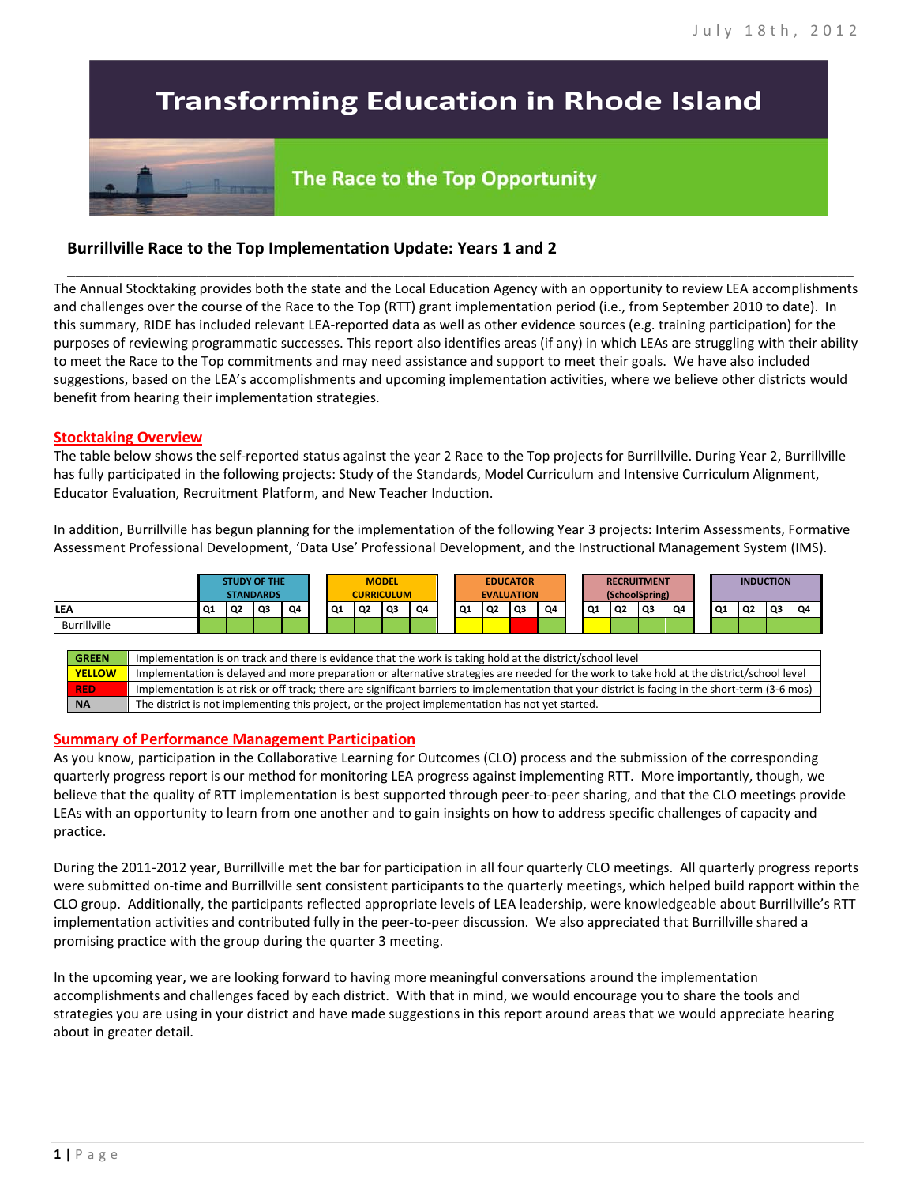# **Transforming Education in Rhode Island**

# The Race to the Top Opportunity

## **Burrillville Race to the Top Implementation Update: Years 1 and 2**

The Annual Stocktaking provides both the state and the Local Education Agency with an opportunity to review LEA accomplishments and challenges over the course of the Race to the Top (RTT) grant implementation period (i.e., from September 2010 to date). In this summary, RIDE has included relevant LEA-reported data as well as other evidence sources (e.g. training participation) for the purposes of reviewing programmatic successes. This report also identifies areas (if any) in which LEAs are struggling with their ability to meet the Race to the Top commitments and may need assistance and support to meet their goals. We have also included suggestions, based on the LEA's accomplishments and upcoming implementation activities, where we believe other districts would benefit from hearing their implementation strategies.

\_\_\_\_\_\_\_\_\_\_\_\_\_\_\_\_\_\_\_\_\_\_\_\_\_\_\_\_\_\_\_\_\_\_\_\_\_\_\_\_\_\_\_\_\_\_\_\_\_\_\_\_\_\_\_\_\_\_\_\_\_\_\_\_\_\_\_\_\_\_\_\_\_\_\_\_\_\_\_\_\_\_\_\_\_\_\_\_\_\_\_\_\_\_\_\_

#### **Stocktaking Overview**

The table below shows the self-reported status against the year 2 Race to the Top projects for Burrillville. During Year 2, Burrillville has fully participated in the following projects: Study of the Standards, Model Curriculum and Intensive Curriculum Alignment, Educator Evaluation, Recruitment Platform, and New Teacher Induction.

In addition, Burrillville has begun planning for the implementation of the following Year 3 projects: Interim Assessments, Formative Assessment Professional Development, 'Data Use' Professional Development, and the Instructional Management System (IMS).



#### **Summary of Performance Management Participation**

As you know, participation in the Collaborative Learning for Outcomes (CLO) process and the submission of the corresponding quarterly progress report is our method for monitoring LEA progress against implementing RTT. More importantly, though, we believe that the quality of RTT implementation is best supported through peer-to-peer sharing, and that the CLO meetings provide LEAs with an opportunity to learn from one another and to gain insights on how to address specific challenges of capacity and practice.

During the 2011-2012 year, Burrillville met the bar for participation in all four quarterly CLO meetings. All quarterly progress reports were submitted on-time and Burrillville sent consistent participants to the quarterly meetings, which helped build rapport within the CLO group. Additionally, the participants reflected appropriate levels of LEA leadership, were knowledgeable about Burrillville's RTT implementation activities and contributed fully in the peer-to-peer discussion. We also appreciated that Burrillville shared a promising practice with the group during the quarter 3 meeting.

In the upcoming year, we are looking forward to having more meaningful conversations around the implementation accomplishments and challenges faced by each district. With that in mind, we would encourage you to share the tools and strategies you are using in your district and have made suggestions in this report around areas that we would appreciate hearing about in greater detail.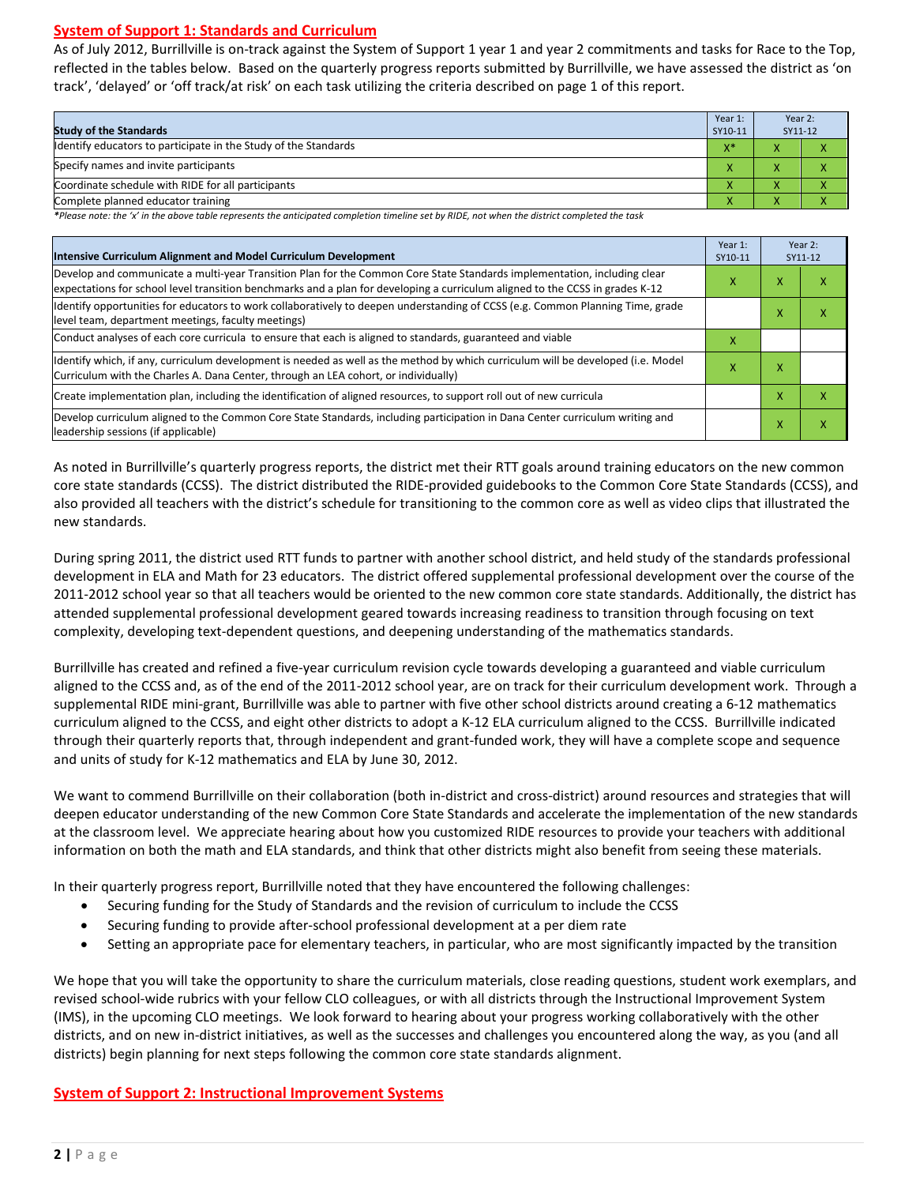#### **System of Support 1: Standards and Curriculum**

As of July 2012, Burrillville is on-track against the System of Support 1 year 1 and year 2 commitments and tasks for Race to the Top, reflected in the tables below. Based on the quarterly progress reports submitted by Burrillville, we have assessed the district as 'on track', 'delayed' or 'off track/at risk' on each task utilizing the criteria described on page 1 of this report.

| <b>Study of the Standards</b>                                   | Year 1:<br>SY10-11 | Year 2:<br>SY11-12 |  |
|-----------------------------------------------------------------|--------------------|--------------------|--|
| Identify educators to participate in the Study of the Standards | $V^*$              |                    |  |
| Specify names and invite participants                           |                    |                    |  |
| Coordinate schedule with RIDE for all participants              | ∧                  |                    |  |
| Complete planned educator training                              | $\mathbf{\Lambda}$ | ⌒                  |  |

*\*Please note: the 'x' in the above table represents the anticipated completion timeline set by RIDE, not when the district completed the task*

| Intensive Curriculum Alignment and Model Curriculum Development                                                                                                                                                                                           |   |                          | Year 2:<br>SY11-12 |  |
|-----------------------------------------------------------------------------------------------------------------------------------------------------------------------------------------------------------------------------------------------------------|---|--------------------------|--------------------|--|
| Develop and communicate a multi-year Transition Plan for the Common Core State Standards implementation, including clear<br>expectations for school level transition benchmarks and a plan for developing a curriculum aligned to the CCSS in grades K-12 |   |                          | ⋏                  |  |
| Identify opportunities for educators to work collaboratively to deepen understanding of CCSS (e.g. Common Planning Time, grade<br>level team, department meetings, faculty meetings)                                                                      |   | $\mathbf v$<br>$\lambda$ | л                  |  |
| Conduct analyses of each core curricula to ensure that each is aligned to standards, guaranteed and viable                                                                                                                                                | x |                          |                    |  |
| ldentify which, if any, curriculum development is needed as well as the method by which curriculum will be developed (i.e. Model<br>Curriculum with the Charles A. Dana Center, through an LEA cohort, or individually)                                   | x | X                        |                    |  |
| Create implementation plan, including the identification of aligned resources, to support roll out of new curricula                                                                                                                                       |   | X                        |                    |  |
| Develop curriculum aligned to the Common Core State Standards, including participation in Dana Center curriculum writing and<br>leadership sessions (if applicable)                                                                                       |   | X                        | x                  |  |

As noted in Burrillville's quarterly progress reports, the district met their RTT goals around training educators on the new common core state standards (CCSS). The district distributed the RIDE-provided guidebooks to the Common Core State Standards (CCSS), and also provided all teachers with the district's schedule for transitioning to the common core as well as video clips that illustrated the new standards.

During spring 2011, the district used RTT funds to partner with another school district, and held study of the standards professional development in ELA and Math for 23 educators. The district offered supplemental professional development over the course of the 2011-2012 school year so that all teachers would be oriented to the new common core state standards. Additionally, the district has attended supplemental professional development geared towards increasing readiness to transition through focusing on text complexity, developing text-dependent questions, and deepening understanding of the mathematics standards.

Burrillville has created and refined a five-year curriculum revision cycle towards developing a guaranteed and viable curriculum aligned to the CCSS and, as of the end of the 2011-2012 school year, are on track for their curriculum development work. Through a supplemental RIDE mini-grant, Burrillville was able to partner with five other school districts around creating a 6-12 mathematics curriculum aligned to the CCSS, and eight other districts to adopt a K-12 ELA curriculum aligned to the CCSS. Burrillville indicated through their quarterly reports that, through independent and grant-funded work, they will have a complete scope and sequence and units of study for K-12 mathematics and ELA by June 30, 2012.

We want to commend Burrillville on their collaboration (both in-district and cross-district) around resources and strategies that will deepen educator understanding of the new Common Core State Standards and accelerate the implementation of the new standards at the classroom level. We appreciate hearing about how you customized RIDE resources to provide your teachers with additional information on both the math and ELA standards, and think that other districts might also benefit from seeing these materials.

In their quarterly progress report, Burrillville noted that they have encountered the following challenges:

- Securing funding for the Study of Standards and the revision of curriculum to include the CCSS
- Securing funding to provide after-school professional development at a per diem rate
- Setting an appropriate pace for elementary teachers, in particular, who are most significantly impacted by the transition

We hope that you will take the opportunity to share the curriculum materials, close reading questions, student work exemplars, and revised school-wide rubrics with your fellow CLO colleagues, or with all districts through the Instructional Improvement System (IMS), in the upcoming CLO meetings. We look forward to hearing about your progress working collaboratively with the other districts, and on new in-district initiatives, as well as the successes and challenges you encountered along the way, as you (and all districts) begin planning for next steps following the common core state standards alignment.

#### **System of Support 2: Instructional Improvement Systems**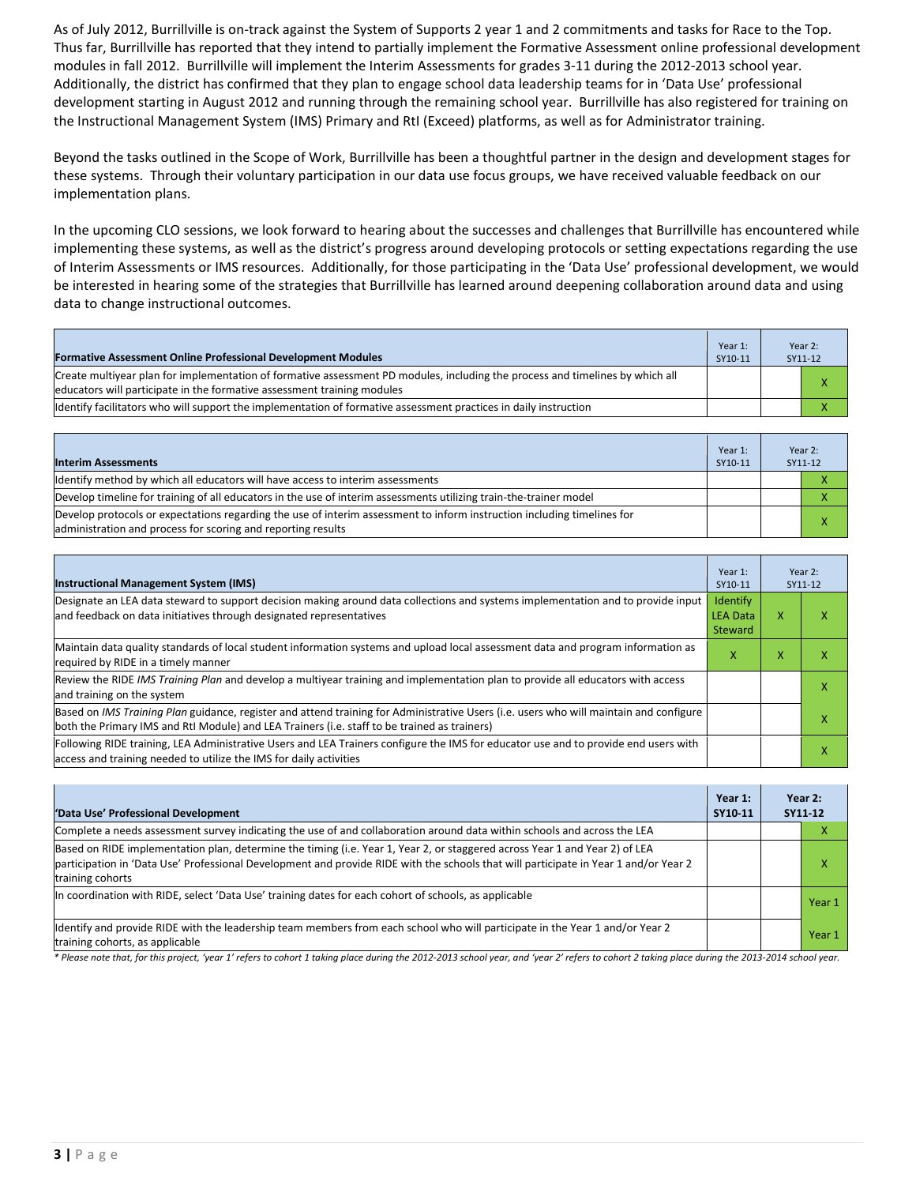As of July 2012, Burrillville is on-track against the System of Supports 2 year 1 and 2 commitments and tasks for Race to the Top. Thus far, Burrillville has reported that they intend to partially implement the Formative Assessment online professional development modules in fall 2012. Burrillville will implement the Interim Assessments for grades 3-11 during the 2012-2013 school year. Additionally, the district has confirmed that they plan to engage school data leadership teams for in 'Data Use' professional development starting in August 2012 and running through the remaining school year. Burrillville has also registered for training on the Instructional Management System (IMS) Primary and RtI (Exceed) platforms, as well as for Administrator training.

Beyond the tasks outlined in the Scope of Work, Burrillville has been a thoughtful partner in the design and development stages for these systems. Through their voluntary participation in our data use focus groups, we have received valuable feedback on our implementation plans.

In the upcoming CLO sessions, we look forward to hearing about the successes and challenges that Burrillville has encountered while implementing these systems, as well as the district's progress around developing protocols or setting expectations regarding the use of Interim Assessments or IMS resources. Additionally, for those participating in the 'Data Use' professional development, we would be interested in hearing some of the strategies that Burrillville has learned around deepening collaboration around data and using data to change instructional outcomes.

| <b>Formative Assessment Online Professional Development Modules</b>                                                                                                                                      | Year 1:<br>SY10-11 | Year 2:<br>SY11-12 |
|----------------------------------------------------------------------------------------------------------------------------------------------------------------------------------------------------------|--------------------|--------------------|
| Create multivear plan for implementation of formative assessment PD modules, including the process and timelines by which all<br>educators will participate in the formative assessment training modules |                    |                    |
| Identify facilitators who will support the implementation of formative assessment practices in daily instruction                                                                                         |                    |                    |

| <b>Interim Assessments</b>                                                                                                                                                              | Year 1:<br>SY10-11 | Year 2:<br>SY11-12 |
|-----------------------------------------------------------------------------------------------------------------------------------------------------------------------------------------|--------------------|--------------------|
| Identify method by which all educators will have access to interim assessments                                                                                                          |                    |                    |
| Develop timeline for training of all educators in the use of interim assessments utilizing train-the-trainer model                                                                      |                    |                    |
| Develop protocols or expectations regarding the use of interim assessment to inform instruction including timelines for<br>administration and process for scoring and reporting results |                    |                    |

| <b>Instructional Management System (IMS)</b>                                                                                                                                                                                           | Year 1:<br>SY10-11                            |           | Year 2:<br>SY11-12 |
|----------------------------------------------------------------------------------------------------------------------------------------------------------------------------------------------------------------------------------------|-----------------------------------------------|-----------|--------------------|
| Designate an LEA data steward to support decision making around data collections and systems implementation and to provide input<br>and feedback on data initiatives through designated representatives                                | <b>Identify</b><br><b>LEA Data</b><br>Steward | x         | ⋏                  |
| Maintain data quality standards of local student information systems and upload local assessment data and program information as<br>required by RIDE in a timely manner                                                                | x                                             | $\lambda$ |                    |
| Review the RIDE IMS Training Plan and develop a multivear training and implementation plan to provide all educators with access<br>and training on the system                                                                          |                                               |           | х                  |
| Based on IMS Training Plan guidance, register and attend training for Administrative Users (i.e. users who will maintain and configure<br>both the Primary IMS and RtI Module) and LEA Trainers (i.e. staff to be trained as trainers) |                                               |           |                    |
| Following RIDE training, LEA Administrative Users and LEA Trainers configure the IMS for educator use and to provide end users with<br>access and training needed to utilize the IMS for daily activities                              |                                               |           | ⋏                  |

| 'Data Use' Professional Development                                                                                                                                                                                                                                                     | Year 1:<br>SY10-11 | Year 2:<br>SY11 12 |        |
|-----------------------------------------------------------------------------------------------------------------------------------------------------------------------------------------------------------------------------------------------------------------------------------------|--------------------|--------------------|--------|
| Complete a needs assessment survey indicating the use of and collaboration around data within schools and across the LEA                                                                                                                                                                |                    |                    | л      |
| Based on RIDE implementation plan, determine the timing (i.e. Year 1, Year 2, or staggered across Year 1 and Year 2) of LEA<br>participation in 'Data Use' Professional Development and provide RIDE with the schools that will participate in Year 1 and/or Year 2<br>training cohorts |                    |                    | л      |
| In coordination with RIDE, select 'Data Use' training dates for each cohort of schools, as applicable                                                                                                                                                                                   |                    |                    | Year 1 |
| Identify and provide RIDE with the leadership team members from each school who will participate in the Year 1 and/or Year 2<br>training cohorts, as applicable                                                                                                                         |                    |                    | Year 1 |

*\* Please note that, for this project, 'year 1' refers to cohort 1 taking place during the 2012-2013 school year, and 'year 2' refers to cohort 2 taking place during the 2013-2014 school year.*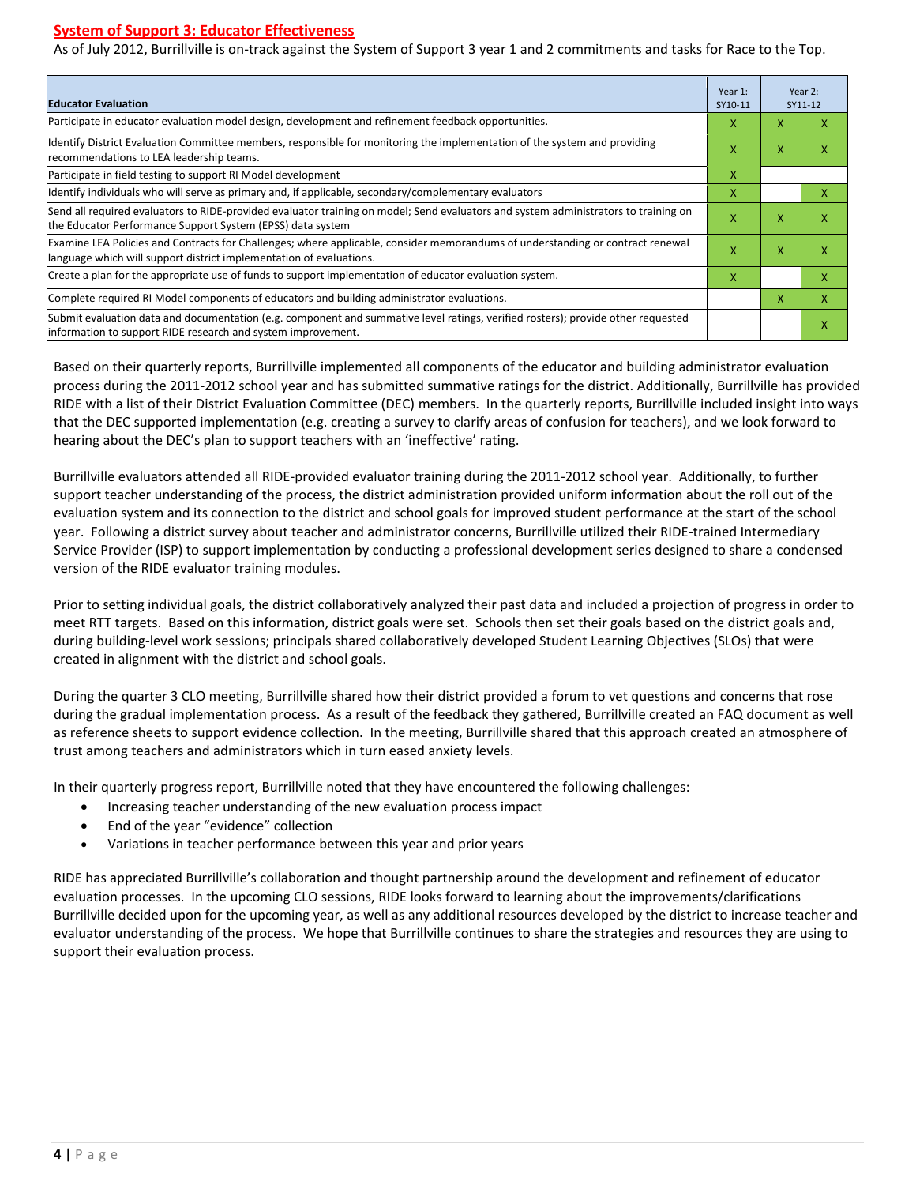#### **System of Support 3: Educator Effectiveness**

As of July 2012, Burrillville is on-track against the System of Support 3 year 1 and 2 commitments and tasks for Race to the Top.

| <b>Educator Evaluation</b>                                                                                                                                                                            |   | Year 2:<br>Year 1:<br>SY10-11<br>SY11-12 |   |
|-------------------------------------------------------------------------------------------------------------------------------------------------------------------------------------------------------|---|------------------------------------------|---|
| Participate in educator evaluation model design, development and refinement feedback opportunities.                                                                                                   | X | x                                        | x |
| Identify District Evaluation Committee members, responsible for monitoring the implementation of the system and providing<br>recommendations to LEA leadership teams.                                 |   | X                                        | x |
| Participate in field testing to support RI Model development                                                                                                                                          | X |                                          |   |
| Identify individuals who will serve as primary and, if applicable, secondary/complementary evaluators                                                                                                 | X |                                          | X |
| Send all required evaluators to RIDE-provided evaluator training on model; Send evaluators and system administrators to training on<br>the Educator Performance Support System (EPSS) data system     | X | X                                        | x |
| Examine LEA Policies and Contracts for Challenges; where applicable, consider memorandums of understanding or contract renewal<br>language which will support district implementation of evaluations. | X | X                                        | x |
| Create a plan for the appropriate use of funds to support implementation of educator evaluation system.                                                                                               | X |                                          | x |
| Complete required RI Model components of educators and building administrator evaluations.                                                                                                            |   | X                                        | X |
| Submit evaluation data and documentation (e.g. component and summative level ratings, verified rosters); provide other requested<br>linformation to support RIDE research and system improvement.     |   |                                          | x |

Based on their quarterly reports, Burrillville implemented all components of the educator and building administrator evaluation process during the 2011-2012 school year and has submitted summative ratings for the district. Additionally, Burrillville has provided RIDE with a list of their District Evaluation Committee (DEC) members. In the quarterly reports, Burrillville included insight into ways that the DEC supported implementation (e.g. creating a survey to clarify areas of confusion for teachers), and we look forward to hearing about the DEC's plan to support teachers with an 'ineffective' rating.

Burrillville evaluators attended all RIDE-provided evaluator training during the 2011-2012 school year. Additionally, to further support teacher understanding of the process, the district administration provided uniform information about the roll out of the evaluation system and its connection to the district and school goals for improved student performance at the start of the school year. Following a district survey about teacher and administrator concerns, Burrillville utilized their RIDE-trained Intermediary Service Provider (ISP) to support implementation by conducting a professional development series designed to share a condensed version of the RIDE evaluator training modules.

Prior to setting individual goals, the district collaboratively analyzed their past data and included a projection of progress in order to meet RTT targets. Based on this information, district goals were set. Schools then set their goals based on the district goals and, during building-level work sessions; principals shared collaboratively developed Student Learning Objectives (SLOs) that were created in alignment with the district and school goals.

During the quarter 3 CLO meeting, Burrillville shared how their district provided a forum to vet questions and concerns that rose during the gradual implementation process. As a result of the feedback they gathered, Burrillville created an FAQ document as well as reference sheets to support evidence collection. In the meeting, Burrillville shared that this approach created an atmosphere of trust among teachers and administrators which in turn eased anxiety levels.

In their quarterly progress report, Burrillville noted that they have encountered the following challenges:

- Increasing teacher understanding of the new evaluation process impact
- End of the year "evidence" collection
- Variations in teacher performance between this year and prior years

RIDE has appreciated Burrillville's collaboration and thought partnership around the development and refinement of educator evaluation processes. In the upcoming CLO sessions, RIDE looks forward to learning about the improvements/clarifications Burrillville decided upon for the upcoming year, as well as any additional resources developed by the district to increase teacher and evaluator understanding of the process. We hope that Burrillville continues to share the strategies and resources they are using to support their evaluation process.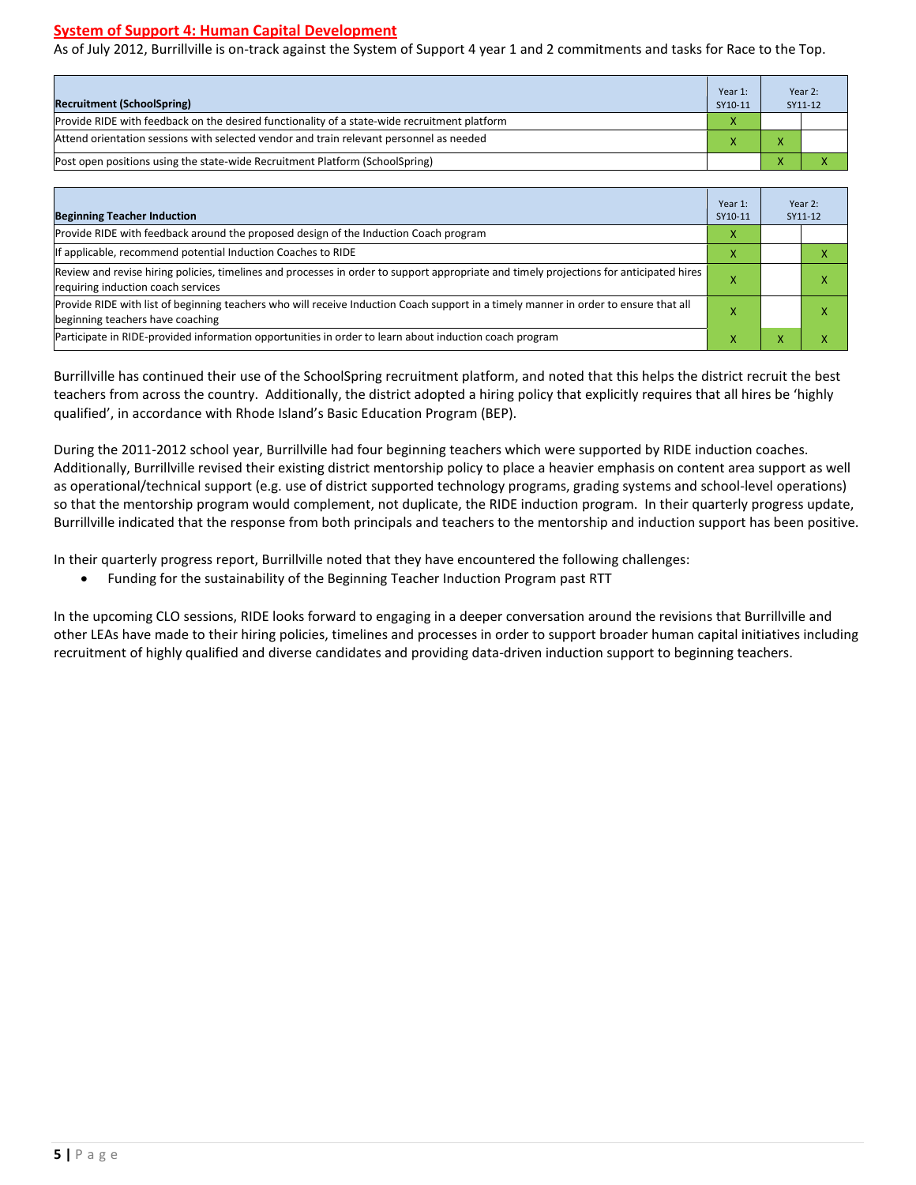### **System of Support 4: Human Capital Development**

As of July 2012, Burrillville is on-track against the System of Support 4 year 1 and 2 commitments and tasks for Race to the Top.

| <b>Recruitment (SchoolSpring)</b>                                                            | Year 1:<br>SY10-11 |  | Year 2:<br>SY11-12 |
|----------------------------------------------------------------------------------------------|--------------------|--|--------------------|
| Provide RIDE with feedback on the desired functionality of a state-wide recruitment platform | х                  |  |                    |
| Attend orientation sessions with selected vendor and train relevant personnel as needed      |                    |  |                    |
| (Post open positions using the state-wide Recruitment Platform (SchoolSpring)                |                    |  | $\overline{ }$     |

| <b>Beginning Teacher Induction</b>                                                                                                                                            | Year 1:<br>SY10-11 |   | Year 2:<br>SY11-12 |
|-------------------------------------------------------------------------------------------------------------------------------------------------------------------------------|--------------------|---|--------------------|
| Provide RIDE with feedback around the proposed design of the Induction Coach program                                                                                          | X                  |   |                    |
| If applicable, recommend potential Induction Coaches to RIDE                                                                                                                  | x                  |   |                    |
| Review and revise hiring policies, timelines and processes in order to support appropriate and timely projections for anticipated hires<br>requiring induction coach services |                    |   |                    |
| Provide RIDE with list of beginning teachers who will receive Induction Coach support in a timely manner in order to ensure that all<br>beginning teachers have coaching      |                    |   |                    |
| Participate in RIDE-provided information opportunities in order to learn about induction coach program                                                                        | ^                  | ж |                    |

Burrillville has continued their use of the SchoolSpring recruitment platform, and noted that this helps the district recruit the best teachers from across the country. Additionally, the district adopted a hiring policy that explicitly requires that all hires be 'highly qualified', in accordance with Rhode Island's Basic Education Program (BEP).

During the 2011-2012 school year, Burrillville had four beginning teachers which were supported by RIDE induction coaches. Additionally, Burrillville revised their existing district mentorship policy to place a heavier emphasis on content area support as well as operational/technical support (e.g. use of district supported technology programs, grading systems and school-level operations) so that the mentorship program would complement, not duplicate, the RIDE induction program. In their quarterly progress update, Burrillville indicated that the response from both principals and teachers to the mentorship and induction support has been positive.

In their quarterly progress report, Burrillville noted that they have encountered the following challenges:

• Funding for the sustainability of the Beginning Teacher Induction Program past RTT

In the upcoming CLO sessions, RIDE looks forward to engaging in a deeper conversation around the revisions that Burrillville and other LEAs have made to their hiring policies, timelines and processes in order to support broader human capital initiatives including recruitment of highly qualified and diverse candidates and providing data-driven induction support to beginning teachers.